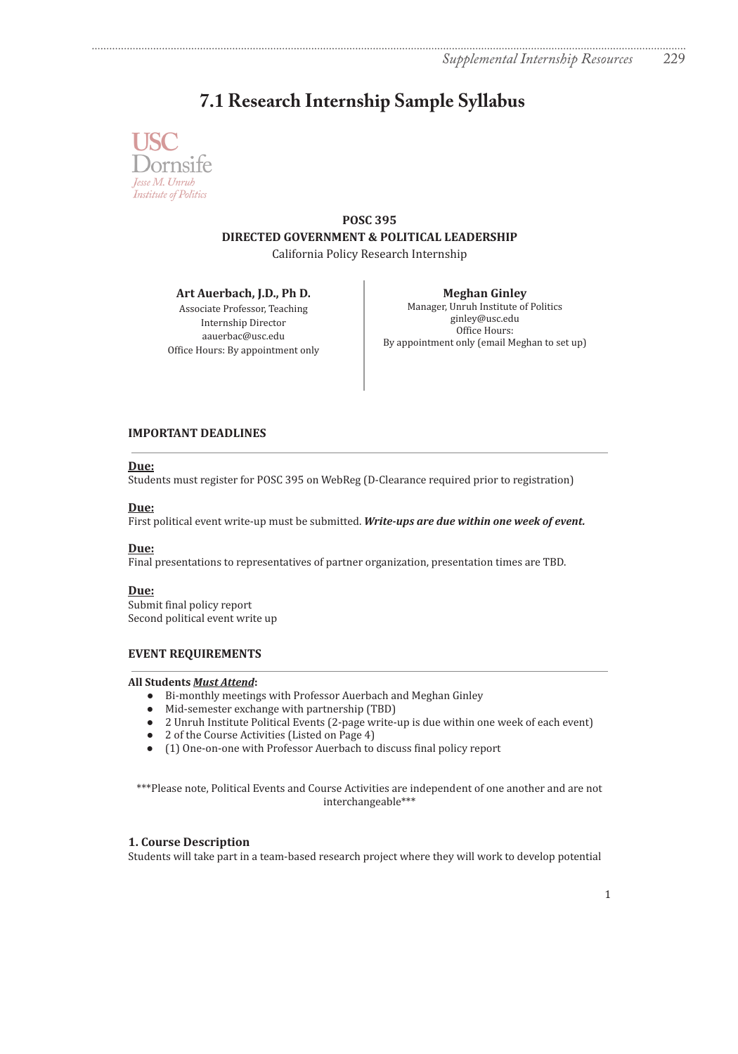# **7.1 Research Internship Sample Syllabus**



**POSC 395 DIRECTED GOVERNMENT & POLITICAL LEADERSHIP** California Policy Research Internship

**Art Auerbach, J.D., Ph D.**

Associate Professor, Teaching Internship Director aauerbac@usc.edu Office Hours: By appointment only

**Meghan Ginley** Manager, Unruh Institute of Politics ginley@usc.edu Office Hours: By appointment only (email Meghan to set up)

# **IMPORTANT DEADLINES**

# **Due:**

Students must register for POSC 395 on WebReg (D-Clearance required prior to registration)

# **Due:**

First political event write-up must be submitted. *Write-ups are due within one week of event.*

# **Due:**

Final presentations to representatives of partner organization, presentation times are TBD.

# **Due:**

Submit final policy report Second political event write up

# **EVENT REQUIREMENTS**

## **All Students** *Must Attend***:**

- Bi-monthly meetings with Professor Auerbach and Meghan Ginley
- Mid-semester exchange with partnership (TBD)
- 2 Unruh Institute Political Events (2-page write-up is due within one week of each event)
- 2 of the Course Activities (Listed on Page 4)
- (1) One-on-one with Professor Auerbach to discuss final policy report

\*\*\*Please note, Political Events and Course Activities are independent of one another and are not interchangeable\*\*\*

# **1. Course Description**

Students will take part in a team-based research project where they will work to develop potential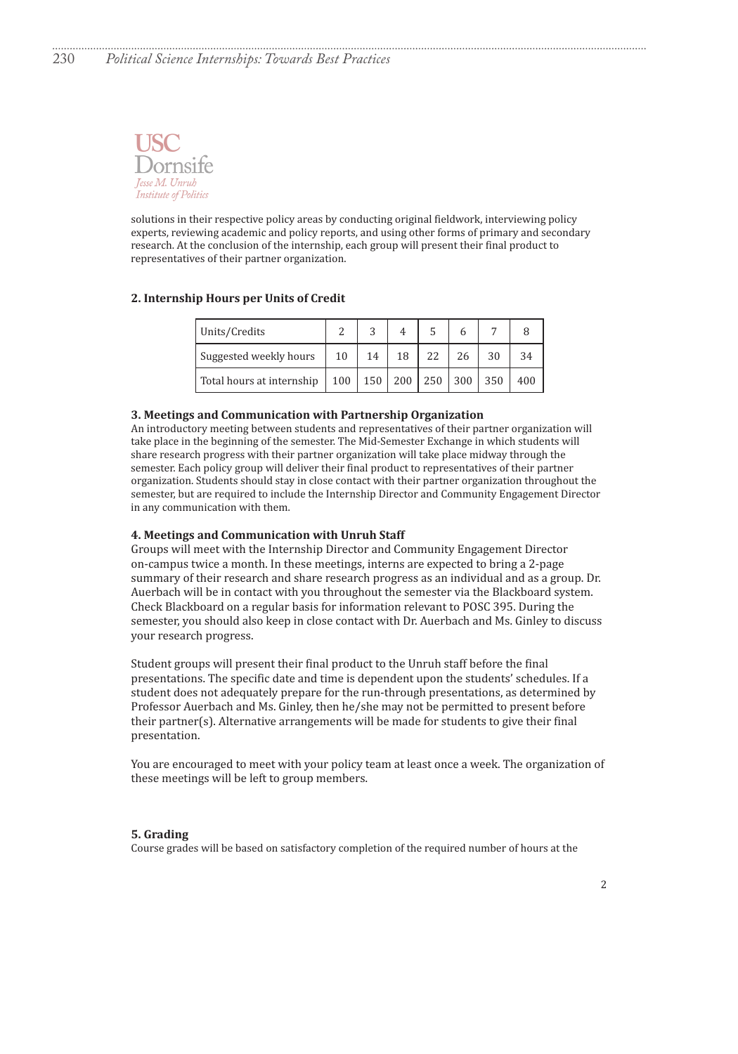

solutions in their respective policy areas by conducting original fieldwork, interviewing policy experts, reviewing academic and policy reports, and using other forms of primary and secondary research. At the conclusion of the internship, each group will present their final product to representatives of their partner organization.

## **2. Internship Hours per Units of Credit**

| Units/Credits             |     | ົ   |     |                |     |     |
|---------------------------|-----|-----|-----|----------------|-----|-----|
| Suggested weekly hours    | 10  |     |     |                |     |     |
| Total hours at internship | 100 | 150 | 200 | $250 \mid 300$ | 350 | 400 |

#### **3. Meetings and Communication with Partnership Organization**

An introductory meeting between students and representatives of their partner organization will take place in the beginning of the semester. The Mid-Semester Exchange in which students will share research progress with their partner organization will take place midway through the semester. Each policy group will deliver their final product to representatives of their partner organization. Students should stay in close contact with their partner organization throughout the semester, but are required to include the Internship Director and Community Engagement Director in any communication with them.

#### **4. Meetings and Communication with Unruh Staff**

Groups will meet with the Internship Director and Community Engagement Director on-campus twice a month. In these meetings, interns are expected to bring a 2-page summary of their research and share research progress as an individual and as a group. Dr. Auerbach will be in contact with you throughout the semester via the Blackboard system. Check Blackboard on a regular basis for information relevant to POSC 395. During the semester, you should also keep in close contact with Dr. Auerbach and Ms. Ginley to discuss your research progress.

Student groups will present their final product to the Unruh staff before the final presentations. The specific date and time is dependent upon the students' schedules. If a student does not adequately prepare for the run-through presentations, as determined by Professor Auerbach and Ms. Ginley, then he/she may not be permitted to present before their partner(s). Alternative arrangements will be made for students to give their final presentation.

You are encouraged to meet with your policy team at least once a week. The organization of these meetings will be left to group members.

#### **5. Grading**

Course grades will be based on satisfactory completion of the required number of hours at the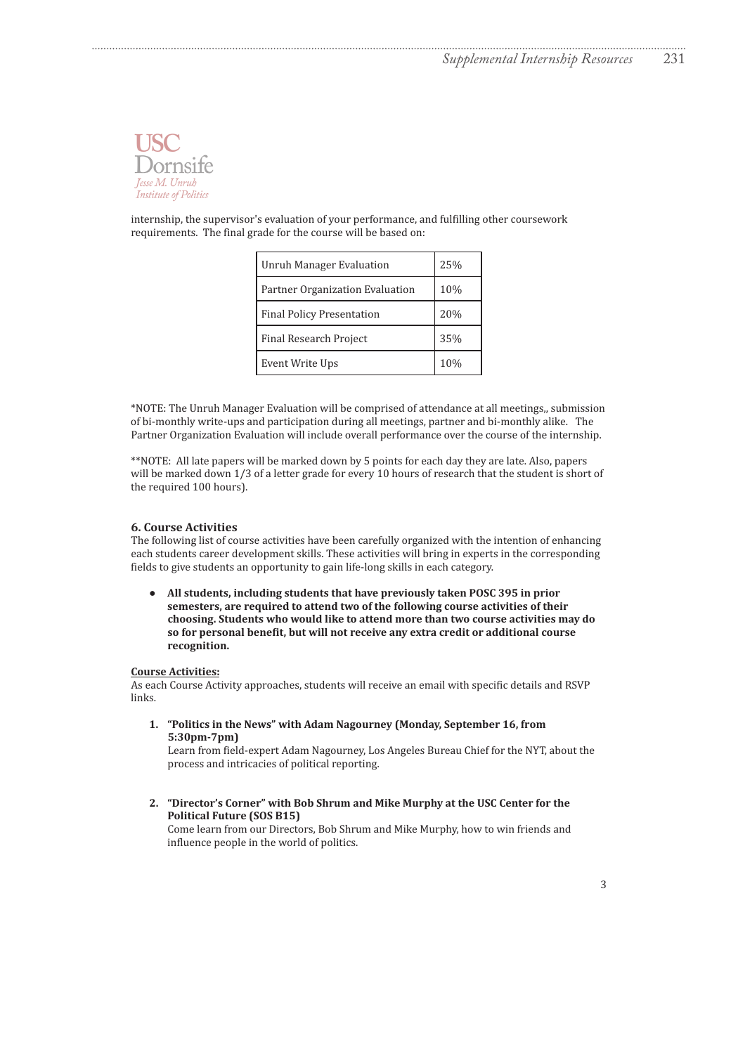

internship, the supervisor's evaluation of your performance, and fulfilling other coursework requirements. The final grade for the course will be based on:

| Unruh Manager Evaluation         | 25% |
|----------------------------------|-----|
| Partner Organization Evaluation  | 10% |
| <b>Final Policy Presentation</b> | 20% |
| <b>Final Research Project</b>    | 35% |
| Event Write Ups                  | 10% |

\*NOTE: The Unruh Manager Evaluation will be comprised of attendance at all meetings,, submission of bi-monthly write-ups and participation during all meetings, partner and bi-monthly alike. The Partner Organization Evaluation will include overall performance over the course of the internship.

\*\*NOTE: All late papers will be marked down by 5 points for each day they are late. Also, papers will be marked down 1/3 of a letter grade for every 10 hours of research that the student is short of the required 100 hours).

#### **6. Course Activities**

The following list of course activities have been carefully organized with the intention of enhancing each students career development skills. These activities will bring in experts in the corresponding fields to give students an opportunity to gain life-long skills in each category.

**● All students, including students that have previously taken POSC 395 in prior semesters, are required to attend two of the following course activities of their choosing. Students who would like to attend more than two course activities may do so for personal benefit, but will not receive any extra credit or additional course recognition.**

## **Course Activities:**

As each Course Activity approaches, students will receive an email with specific details and RSVP links.

**1. "Politics in the News" with Adam Nagourney (Monday, September 16, from 5:30pm-7pm)**

Learn from field-expert Adam Nagourney, Los Angeles Bureau Chief for the NYT, about the process and intricacies of political reporting.

**2. "Director's Corner" with Bob Shrum and Mike Murphy at the USC Center for the Political Future (SOS B15)**

Come learn from our Directors, Bob Shrum and Mike Murphy, how to win friends and influence people in the world of politics.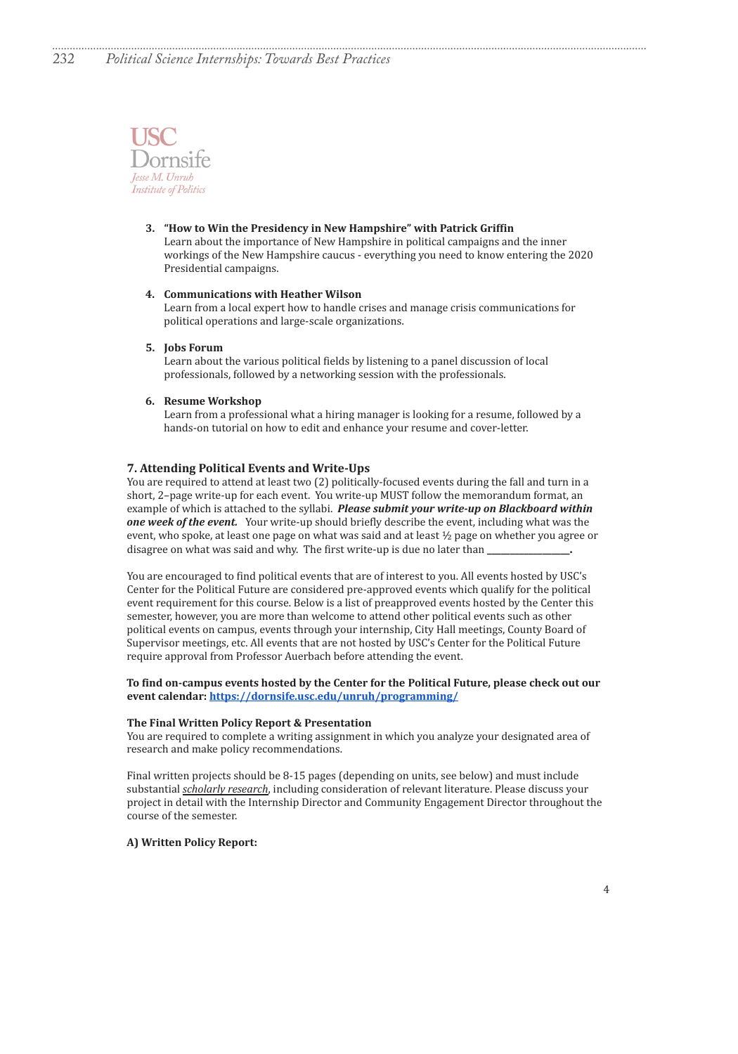

## **3. "How to Win the Presidency in New Hampshire" with Patrick Griffin**

Learn about the importance of New Hampshire in political campaigns and the inner workings of the New Hampshire caucus - everything you need to know entering the 2020 Presidential campaigns.

#### **4. Communications with Heather Wilson**

Learn from a local expert how to handle crises and manage crisis communications for political operations and large-scale organizations.

#### **5. Jobs Forum**

Learn about the various political fields by listening to a panel discussion of local professionals, followed by a networking session with the professionals.

## **6. Resume Workshop**

Learn from a professional what a hiring manager is looking for a resume, followed by a hands-on tutorial on how to edit and enhance your resume and cover-letter.

#### **7. Attending Political Events and Write-Ups**

You are required to attend at least two (2) politically-focused events during the fall and turn in a short, 2–page write-up for each event. You write-up MUST follow the memorandum format, an example of which is attached to the syllabi. *Please submit your write-up on Blackboard within one week of the event.* Your write-up should briefly describe the event, including what was the event, who spoke, at least one page on what was said and at least ½ page on whether you agree or disagree on what was said and why. The first write-up is due no later than

You are encouraged to find political events that are of interest to you. All events hosted by USC's Center for the Political Future are considered pre-approved events which qualify for the political event requirement for this course. Below is a list of preapproved events hosted by the Center this semester, however, you are more than welcome to attend other political events such as other political events on campus, events through your internship, City Hall meetings, County Board of Supervisor meetings, etc. All events that are not hosted by USC's Center for the Political Future require approval from Professor Auerbach before attending the event.

## **To find on-campus events hosted by the Center for the Political Future, please check out our event calendar: https://dornsife.usc.edu/unruh/programming/**

#### **The Final Written Policy Report & Presentation**

You are required to complete a writing assignment in which you analyze your designated area of research and make policy recommendations.

Final written projects should be 8-15 pages (depending on units, see below) and must include substantial *scholarly research*, including consideration of relevant literature. Please discuss your project in detail with the Internship Director and Community Engagement Director throughout the course of the semester.

## **A) Written Policy Report:**